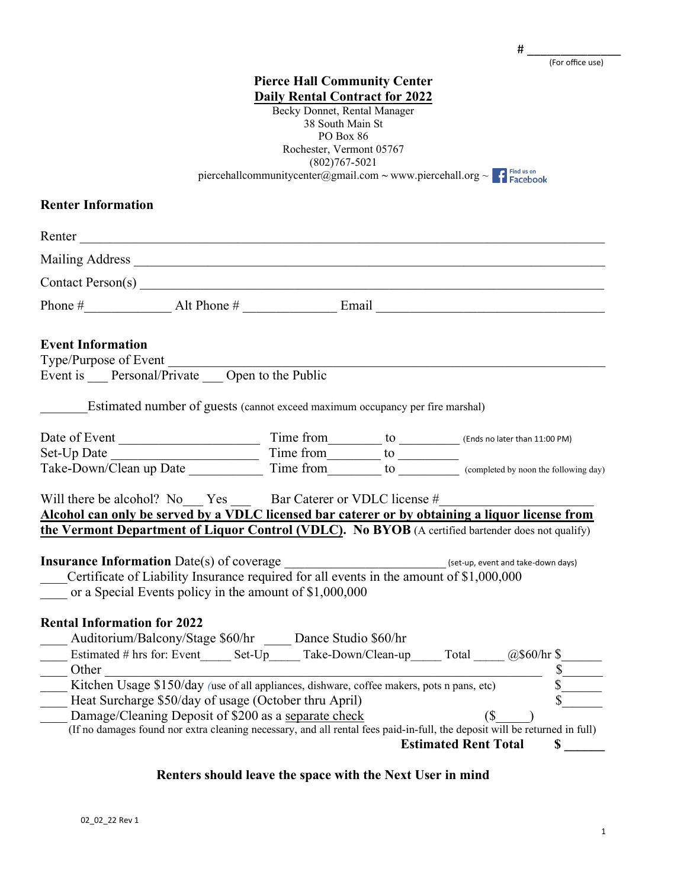| # |                  |  |
|---|------------------|--|
|   | (For office use) |  |

**Pierce Hall Community Center Daily Rental Contract for 2022** Becky Donnet, Rental Manager 38 South Main St PO Box 86 Rochester, Vermont 05767 (802)767-5021 piercehallcommunitycenter@gmail.com ~ [www.piercehall.org](http://www.piercehall.org/) ~ f Find us on **Renter Information** Renter Mailing Address \_\_\_\_\_\_\_\_\_\_\_\_\_\_\_\_\_\_\_\_\_\_\_\_\_\_\_\_\_\_\_\_\_\_\_\_\_\_\_\_\_\_\_\_\_\_\_\_\_\_\_\_\_\_\_\_\_\_\_\_\_\_\_\_\_\_\_\_\_\_ Contact Person(s) \_\_\_\_\_\_\_\_\_\_\_\_\_\_\_\_\_\_\_\_\_\_\_\_\_\_\_\_\_\_\_\_\_\_\_\_\_\_\_\_\_\_\_\_\_\_\_\_\_\_\_\_\_\_\_\_\_\_\_\_\_\_\_\_\_\_\_\_\_ Phone  $\#$  alt Phone  $\#$  Email **Event Information** Type/Purpose of Event \_\_\_\_\_\_\_\_\_\_\_\_\_\_\_\_\_\_\_\_\_\_\_\_\_\_\_\_\_\_\_\_\_\_\_\_\_\_\_\_\_\_\_\_\_\_\_\_\_\_\_\_\_\_\_\_\_\_\_\_\_\_\_\_\_ Event is Personal/Private Open to the Public Estimated number of guests (cannot exceed maximum occupancy per fire marshal) Date of Event \_\_\_\_\_\_\_\_\_\_\_\_\_\_\_\_\_\_\_\_\_ Time from\_\_\_\_\_\_\_\_ to \_\_\_\_\_\_\_\_\_ (Ends no later than 11:00 PM) Set-Up Date \_\_\_\_\_\_\_\_\_\_\_\_\_\_\_\_\_\_\_\_\_\_ Time from\_\_\_\_\_\_\_\_ to \_\_\_\_\_\_\_\_\_ Take-Down/Clean up Date Time from to completed by noon the following day) Will there be alcohol? No Yes Bar Caterer or VDLC license # **Alcohol can only be served by a VDLC licensed bar caterer or by obtaining a liquor license from the Vermont Department of Liquor Control (VDLC). No BYOB** (A certified bartender does not qualify) **Insurance Information** Date(s) of coverage  $\left( \text{set-up}, \text{event and take-down days} \right)$ \_\_\_\_Certificate of Liability Insurance required for all events in the amount of \$1,000,000 or a Special Events policy in the amount of \$1,000,000 **Rental Information for 2022** Auditorium/Balcony/Stage \$60/hr Dance Studio \$60/hr Estimated # hrs for: Event Set-Up Take-Down/Clean-up Total  $@$60/hr$  \$ Other  $\sim$ \_\_\_\_ Kitchen Usage \$150/day *(*use of all appliances, dishware, coffee makers, pots n pans, etc) \$\_\_\_\_\_\_ Heat Surcharge \$50/day of usage (October thru April)<br>Damage/Cleaning Deposit of \$200 as a <u>separate check</u> (\$\_\_\_\_\_\_) Damage/Cleaning Deposit of  $\frac{$200}{$200}$  as a separate check (If no damages found nor extra cleaning necessary, and all rental fees paid-in-full, the deposit will be returned in full)

**Estimated Rent Total \$** 

### **Renters should leave the space with the Next User in mind**